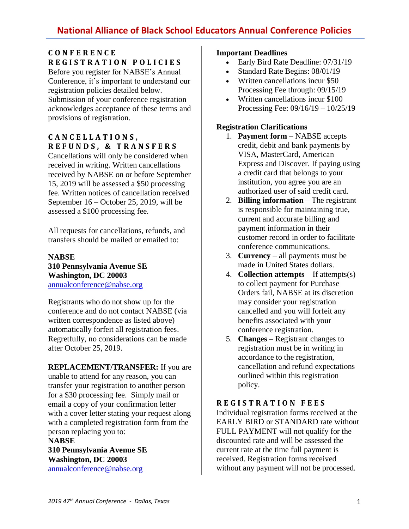## **C O N F E R E N C E R E G I S T R A T I O N P O L I C I E S**

Before you register for NABSE's Annual Conference, it's important to understand our registration policies detailed below. Submission of your conference registration acknowledges acceptance of these terms and provisions of registration.

# **C A N C E L L A T I O N S , R E F U N D S , & T R A N S F E R S**

Cancellations will only be considered when received in writing. Written cancellations received by NABSE on or before September 15, 2019 will be assessed a \$50 processing fee. Written notices of cancellation received September 16 – October 25, 2019, will be assessed a \$100 processing fee.

All requests for cancellations, refunds, and transfers should be mailed or emailed to:

#### **NABSE 310 Pennsylvania Avenue SE Washington, DC 20003** [annualconference@nabse.org](mailto:annualconference@nabse.org)

Registrants who do not show up for the conference and do not contact NABSE (via written correspondence as listed above) automatically forfeit all registration fees. Regretfully, no considerations can be made after October 25, 2019.

**REPLACEMENT/TRANSFER:** If you are unable to attend for any reason, you can transfer your registration to another person for a \$30 processing fee. Simply mail or email a copy of your confirmation letter with a cover letter stating your request along with a completed registration form from the person replacing you to: **NABSE**

## **310 Pennsylvania Avenue SE Washington, DC 20003** [annualconference@nabse.org](mailto:annualconference@nabse.org)

#### **Important Deadlines**

- Early Bird Rate Deadline: 07/31/19
- Standard Rate Begins: 08/01/19
- Written cancellations incur \$50 Processing Fee through: 09/15/19
- Written cancellations incur \$100 Processing Fee: 09/16/19 – 10/25/19

## **Registration Clarifications**

- 1. **Payment form** NABSE accepts credit, debit and bank payments by VISA, MasterCard, American Express and Discover. If paying using a credit card that belongs to your institution, you agree you are an authorized user of said credit card.
- 2. **Billing information** The registrant is responsible for maintaining true, current and accurate billing and payment information in their customer record in order to facilitate conference communications.
- 3. **Currency** all payments must be made in United States dollars.
- 4. **Collection attempts** If attempts(s) to collect payment for Purchase Orders fail, NABSE at its discretion may consider your registration cancelled and you will forfeit any benefits associated with your conference registration.
- 5. **Changes** Registrant changes to registration must be in writing in accordance to the registration, cancellation and refund expectations outlined within this registration policy.

## **R E G I S T R A T I O N F E E S**

Individual registration forms received at the EARLY BIRD or STANDARD rate without FULL PAYMENT will not qualify for the discounted rate and will be assessed the current rate at the time full payment is received. Registration forms received without any payment will not be processed.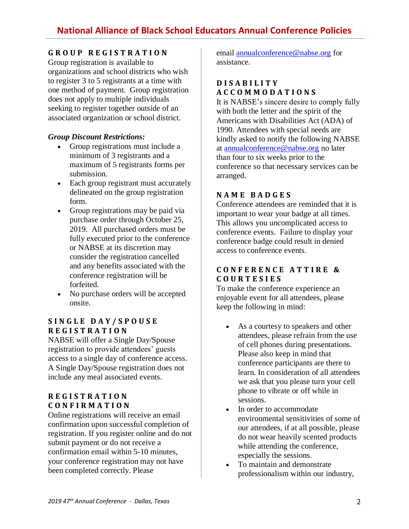# **G R O U P R E G I S T R A T I O N**

Group registration is available to organizations and school districts who wish to register 3 to 5 registrants at a time with one method of payment. Group registration does not apply to multiple individuals seeking to register together outside of an associated organization or school district.

#### *Group Discount Restrictions:*

- Group registrations must include a minimum of 3 registrants and a maximum of 5 registrants forms per submission.
- Each group registrant must accurately delineated on the group registration form.
- Group registrations may be paid via purchase order through October 25, 2019. All purchased orders must be fully executed prior to the conference or NABSE at its discretion may consider the registration cancelled and any benefits associated with the conference registration will be forfeited.
- No purchase orders will be accepted onsite.

## **S I N G L E D A Y / S P O U S E R E G I S T R A T I O N**

NABSE will offer a Single Day/Spouse registration to provide attendees' guests access to a single day of conference access. A Single Day/Spouse registration does not include any meal associated events.

### **R E G I S T R A T I O N C O N F I R M A T I O N**

Online registrations will receive an email confirmation upon successful completion of registration. If you register online and do not submit payment or do not receive a confirmation email within 5-10 minutes, your conference registration may not have been completed correctly. Please

email [annualconference@nabse.org](mailto:annualconference@nabse.org) for assistance.

#### **D I S A B I L I T Y A C C O M M O D A T I O N S**

It is NABSE's sincere desire to comply fully with both the letter and the spirit of the Americans with Disabilities Act (ADA) of 1990. Attendees with special needs are kindly asked to notify the following NABSE at [annualconference@nabse.org](mailto:annualconference@nabse.org) no later than four to six weeks prior to the conference so that necessary services can be arranged.

### **N A M E B A D G E S**

Conference attendees are reminded that it is important to wear your badge at all times. This allows you uncomplicated access to conference events. Failure to display your conference badge could result in denied access to conference events.

### **C O N F E R E N C E A T T I R E & C O U R T E S I E S**

To make the conference experience an enjoyable event for all attendees, please keep the following in mind:

- As a courtesy to speakers and other attendees, please refrain from the use of cell phones during presentations. Please also keep in mind that conference participants are there to learn. In consideration of all attendees we ask that you please turn your cell phone to vibrate or off while in sessions.
- In order to accommodate environmental sensitivities of some of our attendees, if at all possible, please do not wear heavily scented products while attending the conference, especially the sessions.
- To maintain and demonstrate professionalism within our industry,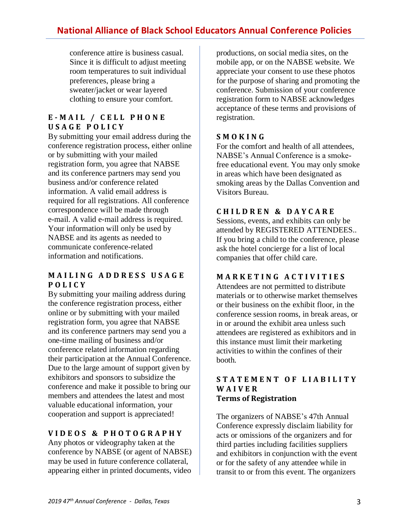# **National Alliance of Black School Educators Annual Conference Policies**

conference attire is business casual. Since it is difficult to adjust meeting room temperatures to suit individual preferences, please bring a sweater/jacket or wear layered clothing to ensure your comfort.

### **E - M A I L / C E L L P H O N E U S A G E P O L I C Y**

By submitting your email address during the conference registration process, either online or by submitting with your mailed registration form, you agree that NABSE and its conference partners may send you business and/or conference related information. A valid email address is required for all registrations. All conference correspondence will be made through e-mail. A valid e-mail address is required. Your information will only be used by NABSE and its agents as needed to communicate conference-related information and notifications.

### **M A I L I N G A D D R E S S U S A G E P O L I C Y**

By submitting your mailing address during the conference registration process, either online or by submitting with your mailed registration form, you agree that NABSE and its conference partners may send you a one-time mailing of business and/or conference related information regarding their participation at the Annual Conference. Due to the large amount of support given by exhibitors and sponsors to subsidize the conference and make it possible to bring our members and attendees the latest and most valuable educational information, your cooperation and support is appreciated!

# **V I D E O S & P H O T O G R A P H Y**

Any photos or videography taken at the conference by NABSE (or agent of NABSE) may be used in future conference collateral, appearing either in printed documents, video

productions, on social media sites, on the mobile app, or on the NABSE website. We appreciate your consent to use these photos for the purpose of sharing and promoting the conference. Submission of your conference registration form to NABSE acknowledges acceptance of these terms and provisions of registration.

#### **S M O K I N G**

For the comfort and health of all attendees, NABSE's Annual Conference is a smokefree educational event. You may only smoke in areas which have been designated as smoking areas by the Dallas Convention and Visitors Bureau.

### **C H I L D R E N & D A Y C A R E**

Sessions, events, and exhibits can only be attended by REGISTERED ATTENDEES.. If you bring a child to the conference, please ask the hotel concierge for a list of local companies that offer child care.

## **M A R K E T I N G A C T I V I T I E S**

Attendees are not permitted to distribute materials or to otherwise market themselves or their business on the exhibit floor, in the conference session rooms, in break areas, or in or around the exhibit area unless such attendees are registered as exhibitors and in this instance must limit their marketing activities to within the confines of their booth.

#### **S T A T E M E N T O F L I A B I L I T Y W A I V E R Terms of Registration**

The organizers of NABSE's 47th Annual Conference expressly disclaim liability for acts or omissions of the organizers and for third parties including facilities suppliers and exhibitors in conjunction with the event or for the safety of any attendee while in transit to or from this event. The organizers